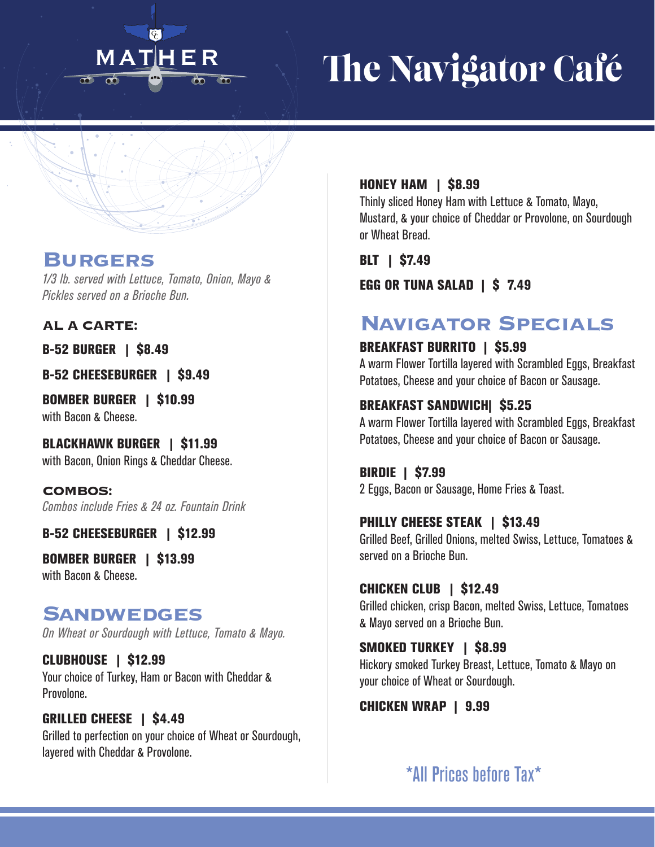## $\epsilon$ MATHER  $\overline{\mathbf{r}^{\mathbf{r}}}$

# The Navigator Café

## **Burgers**

*1/3 lb. served with Lettuce, Tomato, Onion, Mayo & Pickles served on a Brioche Bun.*

**AL A CARTE:**

B-52 BURGER | \$8.49

B-52 CHEESEBURGER | \$9.49

BOMBER BURGER | \$10.99 with Bacon & Cheese.

BLACKHAWK BURGER | \$11.99 with Bacon, Onion Rings & Cheddar Cheese.

**COMBOS:** *Combos include Fries & 24 oz. Fountain Drink*

B-52 CHEESEBURGER | \$12.99

BOMBER BURGER | \$13.99 with Bacon & Cheese.

# **Sandwedges**

*On Wheat or Sourdough with Lettuce, Tomato & Mayo.*

CLUBHOUSE | \$12.99 Your choice of Turkey, Ham or Bacon with Cheddar & Provolone.

GRILLED CHEESE | \$4.49 Grilled to perfection on your choice of Wheat or Sourdough, layered with Cheddar & Provolone.

#### **HONEY HAM | \$8.99**

Thinly sliced Honey Ham with Lettuce & Tomato, Mayo, Mustard, & your choice of Cheddar or Provolone, on Sourdough or Wheat Bread.

BLT | \$7.49

EGG OR TUNA SALAD | \$ 7.49

# **Navigator Specials**

#### BREAKFAST BURRITO | \$5.99

A warm Flower Tortilla layered with Scrambled Eggs, Breakfast Potatoes, Cheese and your choice of Bacon or Sausage.

#### BREAKFAST SANDWICH| \$5.25

A warm Flower Tortilla layered with Scrambled Eggs, Breakfast Potatoes, Cheese and your choice of Bacon or Sausage.

BIRDIE | \$7.99 2 Eggs, Bacon or Sausage, Home Fries & Toast.

#### PHILLY CHEESE STEAK | \$13.49

Grilled Beef, Grilled Onions, melted Swiss, Lettuce, Tomatoes & served on a Brioche Bun.

#### CHICKEN CLUB | \$12.49

Grilled chicken, crisp Bacon, melted Swiss, Lettuce, Tomatoes & Mayo served on a Brioche Bun.

#### SMOKED TURKEY | \$8.99

Hickory smoked Turkey Breast, Lettuce, Tomato & Mayo on your choice of Wheat or Sourdough.

CHICKEN WRAP | 9.99

\*All Prices before Tax\*